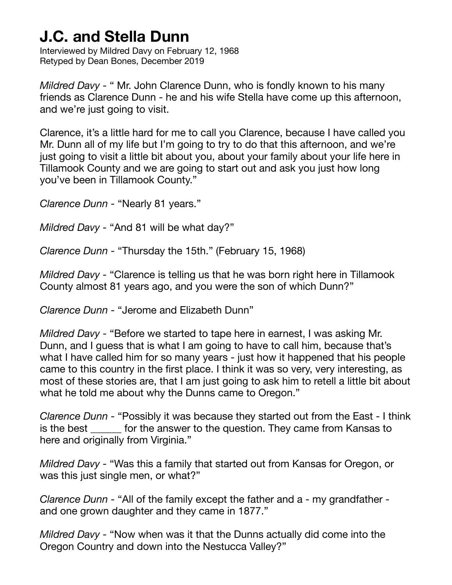Interviewed by Mildred Davy on February 12, 1968 Retyped by Dean Bones, December 2019

*Mildred Davy -* " Mr. John Clarence Dunn, who is fondly known to his many friends as Clarence Dunn - he and his wife Stella have come up this afternoon, and we're just going to visit.

Clarence, it's a little hard for me to call you Clarence, because I have called you Mr. Dunn all of my life but I'm going to try to do that this afternoon, and we're just going to visit a little bit about you, about your family about your life here in Tillamook County and we are going to start out and ask you just how long you've been in Tillamook County."

*Clarence Dunn -* "Nearly 81 years."

*Mildred Davy -* "And 81 will be what day?"

*Clarence Dunn -* "Thursday the 15th." (February 15, 1968)

*Mildred Davy -* "Clarence is telling us that he was born right here in Tillamook County almost 81 years ago, and you were the son of which Dunn?"

*Clarence Dunn -* "Jerome and Elizabeth Dunn"

*Mildred Davy -* "Before we started to tape here in earnest, I was asking Mr. Dunn, and I guess that is what I am going to have to call him, because that's what I have called him for so many years - just how it happened that his people came to this country in the first place. I think it was so very, very interesting, as most of these stories are, that I am just going to ask him to retell a little bit about what he told me about why the Dunns came to Oregon."

*Clarence Dunn -* "Possibly it was because they started out from the East - I think is the best \_\_\_\_\_\_ for the answer to the question. They came from Kansas to here and originally from Virginia."

*Mildred Davy -* "Was this a family that started out from Kansas for Oregon, or was this just single men, or what?"

*Clarence Dunn -* "All of the family except the father and a - my grandfather and one grown daughter and they came in 1877."

*Mildred Davy -* "Now when was it that the Dunns actually did come into the Oregon Country and down into the Nestucca Valley?"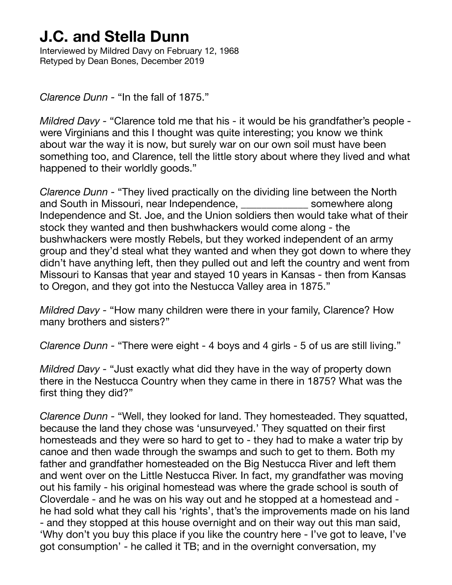Interviewed by Mildred Davy on February 12, 1968 Retyped by Dean Bones, December 2019

*Clarence Dunn -* "In the fall of 1875."

*Mildred Davy -* "Clarence told me that his - it would be his grandfather's people were Virginians and this I thought was quite interesting; you know we think about war the way it is now, but surely war on our own soil must have been something too, and Clarence, tell the little story about where they lived and what happened to their worldly goods."

*Clarence Dunn -* "They lived practically on the dividing line between the North and South in Missouri, near Independence, each somewhere along Independence and St. Joe, and the Union soldiers then would take what of their stock they wanted and then bushwhackers would come along - the bushwhackers were mostly Rebels, but they worked independent of an army group and they'd steal what they wanted and when they got down to where they didn't have anything left, then they pulled out and left the country and went from Missouri to Kansas that year and stayed 10 years in Kansas - then from Kansas to Oregon, and they got into the Nestucca Valley area in 1875."

*Mildred Davy - "How many children were there in your family, Clarence? How* many brothers and sisters?"

*Clarence Dunn -* "There were eight - 4 boys and 4 girls - 5 of us are still living."

*Mildred Davy -* "Just exactly what did they have in the way of property down there in the Nestucca Country when they came in there in 1875? What was the first thing they did?"

*Clarence Dunn -* "Well, they looked for land. They homesteaded. They squatted, because the land they chose was 'unsurveyed.' They squatted on their first homesteads and they were so hard to get to - they had to make a water trip by canoe and then wade through the swamps and such to get to them. Both my father and grandfather homesteaded on the Big Nestucca River and left them and went over on the Little Nestucca River. In fact, my grandfather was moving out his family - his original homestead was where the grade school is south of Cloverdale - and he was on his way out and he stopped at a homestead and he had sold what they call his 'rights', that's the improvements made on his land - and they stopped at this house overnight and on their way out this man said, 'Why don't you buy this place if you like the country here - I've got to leave, I've got consumption' - he called it TB; and in the overnight conversation, my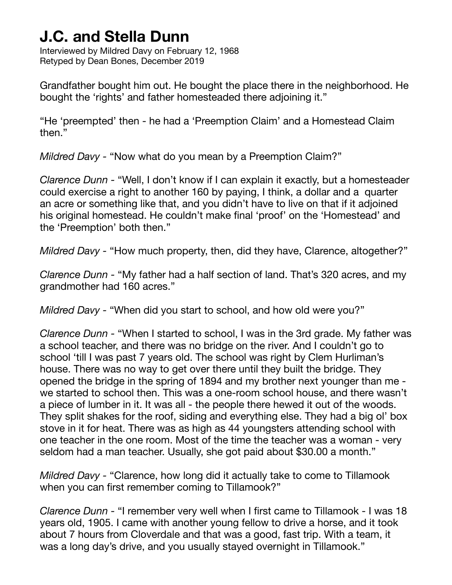Interviewed by Mildred Davy on February 12, 1968 Retyped by Dean Bones, December 2019

Grandfather bought him out. He bought the place there in the neighborhood. He bought the 'rights' and father homesteaded there adjoining it."

"He 'preempted' then - he had a 'Preemption Claim' and a Homestead Claim then."

*Mildred Davy -* "Now what do you mean by a Preemption Claim?"

*Clarence Dunn -* "Well, I don't know if I can explain it exactly, but a homesteader could exercise a right to another 160 by paying, I think, a dollar and a quarter an acre or something like that, and you didn't have to live on that if it adjoined his original homestead. He couldn't make final 'proof' on the 'Homestead' and the 'Preemption' both then."

*Mildred Davy - "How much property, then, did they have, Clarence, altogether?"* 

*Clarence Dunn -* "My father had a half section of land. That's 320 acres, and my grandmother had 160 acres."

*Mildred Davy -* "When did you start to school, and how old were you?"

*Clarence Dunn -* "When I started to school, I was in the 3rd grade. My father was a school teacher, and there was no bridge on the river. And I couldn't go to school 'till I was past 7 years old. The school was right by Clem Hurliman's house. There was no way to get over there until they built the bridge. They opened the bridge in the spring of 1894 and my brother next younger than me we started to school then. This was a one-room school house, and there wasn't a piece of lumber in it. It was all - the people there hewed it out of the woods. They split shakes for the roof, siding and everything else. They had a big ol' box stove in it for heat. There was as high as 44 youngsters attending school with one teacher in the one room. Most of the time the teacher was a woman - very seldom had a man teacher. Usually, she got paid about \$30.00 a month."

*Mildred Davy -* "Clarence, how long did it actually take to come to Tillamook when you can first remember coming to Tillamook?"

*Clarence Dunn -* "I remember very well when I first came to Tillamook - I was 18 years old, 1905. I came with another young fellow to drive a horse, and it took about 7 hours from Cloverdale and that was a good, fast trip. With a team, it was a long day's drive, and you usually stayed overnight in Tillamook."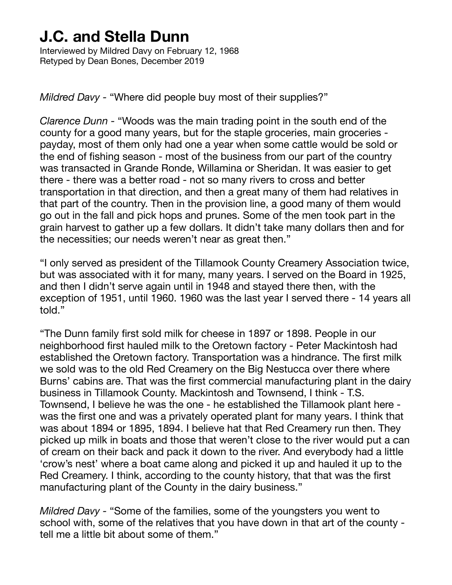Interviewed by Mildred Davy on February 12, 1968 Retyped by Dean Bones, December 2019

*Mildred Davy -* "Where did people buy most of their supplies?"

*Clarence Dunn -* "Woods was the main trading point in the south end of the county for a good many years, but for the staple groceries, main groceries payday, most of them only had one a year when some cattle would be sold or the end of fishing season - most of the business from our part of the country was transacted in Grande Ronde, Willamina or Sheridan. It was easier to get there - there was a better road - not so many rivers to cross and better transportation in that direction, and then a great many of them had relatives in that part of the country. Then in the provision line, a good many of them would go out in the fall and pick hops and prunes. Some of the men took part in the grain harvest to gather up a few dollars. It didn't take many dollars then and for the necessities; our needs weren't near as great then."

"I only served as president of the Tillamook County Creamery Association twice, but was associated with it for many, many years. I served on the Board in 1925, and then I didn't serve again until in 1948 and stayed there then, with the exception of 1951, until 1960. 1960 was the last year I served there - 14 years all told."

"The Dunn family first sold milk for cheese in 1897 or 1898. People in our neighborhood first hauled milk to the Oretown factory - Peter Mackintosh had established the Oretown factory. Transportation was a hindrance. The first milk we sold was to the old Red Creamery on the Big Nestucca over there where Burns' cabins are. That was the first commercial manufacturing plant in the dairy business in Tillamook County. Mackintosh and Townsend, I think - T.S. Townsend, I believe he was the one - he established the Tillamook plant here was the first one and was a privately operated plant for many years. I think that was about 1894 or 1895, 1894. I believe hat that Red Creamery run then. They picked up milk in boats and those that weren't close to the river would put a can of cream on their back and pack it down to the river. And everybody had a little 'crow's nest' where a boat came along and picked it up and hauled it up to the Red Creamery. I think, according to the county history, that that was the first manufacturing plant of the County in the dairy business."

*Mildred Davy -* "Some of the families, some of the youngsters you went to school with, some of the relatives that you have down in that art of the county tell me a little bit about some of them."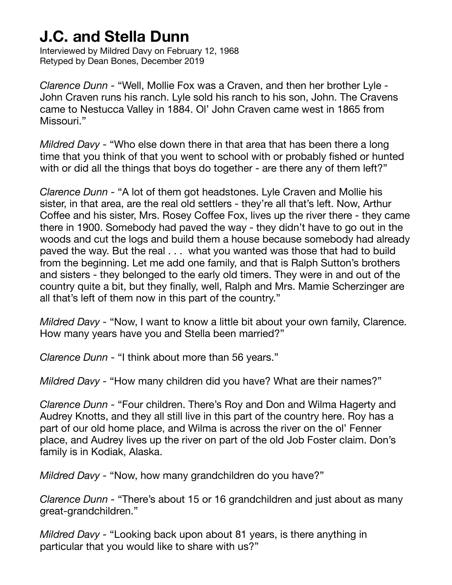Interviewed by Mildred Davy on February 12, 1968 Retyped by Dean Bones, December 2019

*Clarence Dunn -* "Well, Mollie Fox was a Craven, and then her brother Lyle - John Craven runs his ranch. Lyle sold his ranch to his son, John. The Cravens came to Nestucca Valley in 1884. Ol' John Craven came west in 1865 from Missouri."

*Mildred Davy -* "Who else down there in that area that has been there a long time that you think of that you went to school with or probably fished or hunted with or did all the things that boys do together - are there any of them left?"

*Clarence Dunn -* "A lot of them got headstones. Lyle Craven and Mollie his sister, in that area, are the real old settlers - they're all that's left. Now, Arthur Coffee and his sister, Mrs. Rosey Coffee Fox, lives up the river there - they came there in 1900. Somebody had paved the way - they didn't have to go out in the woods and cut the logs and build them a house because somebody had already paved the way. But the real . . . what you wanted was those that had to build from the beginning. Let me add one family, and that is Ralph Sutton's brothers and sisters - they belonged to the early old timers. They were in and out of the country quite a bit, but they finally, well, Ralph and Mrs. Mamie Scherzinger are all that's left of them now in this part of the country."

*Mildred Davy -* "Now, I want to know a little bit about your own family, Clarence. How many years have you and Stella been married?"

*Clarence Dunn -* "I think about more than 56 years."

*Mildred Davy -* "How many children did you have? What are their names?"

*Clarence Dunn -* "Four children. There's Roy and Don and Wilma Hagerty and Audrey Knotts, and they all still live in this part of the country here. Roy has a part of our old home place, and Wilma is across the river on the ol' Fenner place, and Audrey lives up the river on part of the old Job Foster claim. Don's family is in Kodiak, Alaska.

*Mildred Davy -* "Now, how many grandchildren do you have?"

*Clarence Dunn -* "There's about 15 or 16 grandchildren and just about as many great-grandchildren."

*Mildred Davy -* "Looking back upon about 81 years, is there anything in particular that you would like to share with us?"